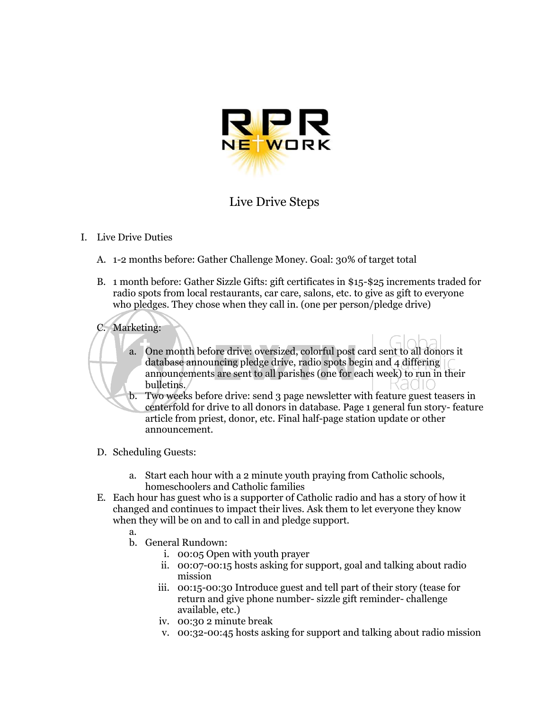

## Live Drive Steps

## I. Live Drive Duties

- A. 1-2 months before: Gather Challenge Money. Goal: 30% of target total
- B. 1 month before: Gather Sizzle Gifts: gift certificates in \$15-\$25 increments traded for radio spots from local restaurants, car care, salons, etc. to give as gift to everyone who pledges. They chose when they call in. (one per person/pledge drive)

## C. Marketing:

- a. One month before drive: oversized, colorful post card sent to all donors it database announcing pledge drive, radio spots begin and 4 differing announcements are sent to all parishes (one for each week) to run in their bulletins.
- b. Two weeks before drive: send 3 page newsletter with feature guest teasers in centerfold for drive to all donors in database. Page 1 general fun story- feature article from priest, donor, etc. Final half-page station update or other announcement.
- D. Scheduling Guests:
	- a. Start each hour with a 2 minute youth praying from Catholic schools, homeschoolers and Catholic families
- E. Each hour has guest who is a supporter of Catholic radio and has a story of how it changed and continues to impact their lives. Ask them to let everyone they know when they will be on and to call in and pledge support.
	- a.
	- b. General Rundown:
		- i. 00:05 Open with youth prayer
		- ii. 00:07-00:15 hosts asking for support, goal and talking about radio mission
		- iii. 00:15-00:30 Introduce guest and tell part of their story (tease for return and give phone number- sizzle gift reminder- challenge available, etc.)
		- iv. 00:30 2 minute break
		- v. 00:32-00:45 hosts asking for support and talking about radio mission